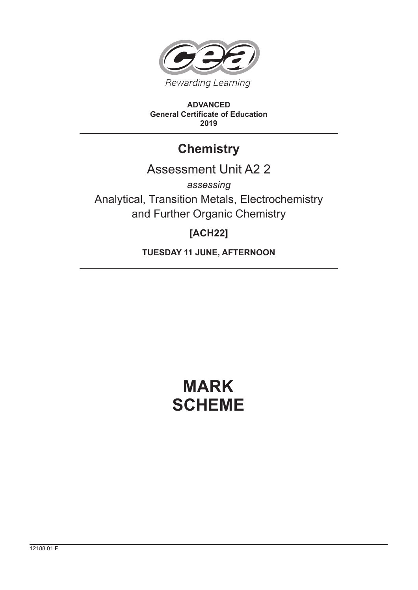

**ADVANCED General Certificate of Education 2019**

## **Chemistry**

## Assessment Unit A2 2

*assessing* Analytical, Transition Metals, Electrochemistry and Further Organic Chemistry

## **[ACH22]**

**TUESDAY 11 JUNE, AFTERNOON**

# **MARK SCHEME**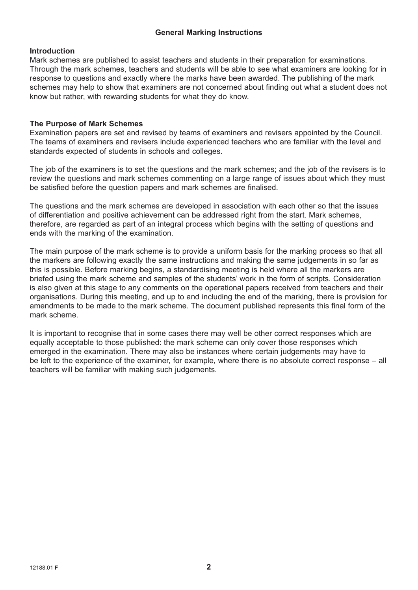#### **General Marking Instructions**

#### **Introduction**

Mark schemes are published to assist teachers and students in their preparation for examinations. Through the mark schemes, teachers and students will be able to see what examiners are looking for in response to questions and exactly where the marks have been awarded. The publishing of the mark schemes may help to show that examiners are not concerned about finding out what a student does not know but rather, with rewarding students for what they do know.

#### **The Purpose of Mark Schemes**

Examination papers are set and revised by teams of examiners and revisers appointed by the Council. The teams of examiners and revisers include experienced teachers who are familiar with the level and standards expected of students in schools and colleges.

The job of the examiners is to set the questions and the mark schemes; and the job of the revisers is to review the questions and mark schemes commenting on a large range of issues about which they must be satisfied before the question papers and mark schemes are finalised.

The questions and the mark schemes are developed in association with each other so that the issues of differentiation and positive achievement can be addressed right from the start. Mark schemes, therefore, are regarded as part of an integral process which begins with the setting of questions and ends with the marking of the examination.

The main purpose of the mark scheme is to provide a uniform basis for the marking process so that all the markers are following exactly the same instructions and making the same judgements in so far as this is possible. Before marking begins, a standardising meeting is held where all the markers are briefed using the mark scheme and samples of the students' work in the form of scripts. Consideration is also given at this stage to any comments on the operational papers received from teachers and their organisations. During this meeting, and up to and including the end of the marking, there is provision for amendments to be made to the mark scheme. The document published represents this final form of the mark scheme.

It is important to recognise that in some cases there may well be other correct responses which are equally acceptable to those published: the mark scheme can only cover those responses which emerged in the examination. There may also be instances where certain judgements may have to be left to the experience of the examiner, for example, where there is no absolute correct response – all teachers will be familiar with making such judgements.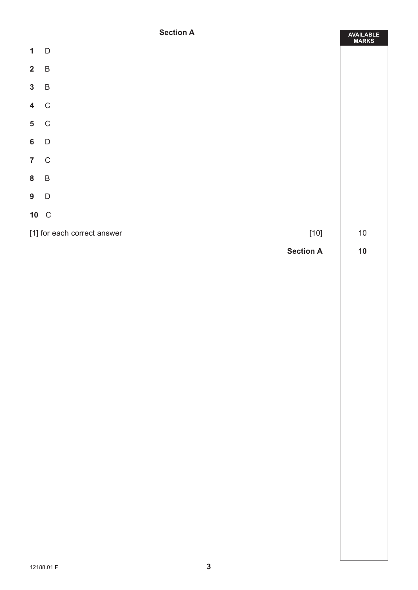### **Section A**

|                                       | <b>Section A</b> | AVAILABLE<br>MARKS |  |  |
|---------------------------------------|------------------|--------------------|--|--|
| $\mathbf{1}$                          | $\Box$           |                    |  |  |
| $\overline{\mathbf{2}}$               | $\overline{B}$   |                    |  |  |
| $3 \quad B$                           |                  |                    |  |  |
| 4 C                                   |                  |                    |  |  |
| 5 C                                   |                  |                    |  |  |
| 6 D                                   |                  |                    |  |  |
| 7 C                                   |                  |                    |  |  |
| $\boldsymbol{8}$                      | $\overline{B}$   |                    |  |  |
| $9\quad D$                            |                  |                    |  |  |
|                                       | 10 C             |                    |  |  |
| [1] for each correct answer<br>$[10]$ |                  |                    |  |  |
|                                       | <b>Section A</b> | $10$               |  |  |
|                                       |                  |                    |  |  |
|                                       |                  |                    |  |  |
|                                       |                  |                    |  |  |
|                                       |                  |                    |  |  |
|                                       |                  |                    |  |  |
|                                       |                  |                    |  |  |
|                                       |                  |                    |  |  |
|                                       |                  |                    |  |  |
|                                       |                  |                    |  |  |
|                                       |                  |                    |  |  |
|                                       |                  |                    |  |  |
|                                       |                  |                    |  |  |
|                                       |                  |                    |  |  |
|                                       |                  |                    |  |  |
|                                       |                  |                    |  |  |
|                                       |                  |                    |  |  |
|                                       |                  |                    |  |  |
|                                       |                  |                    |  |  |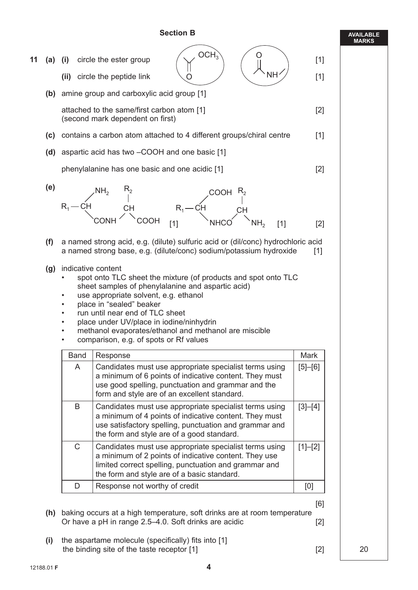#### **Section B**

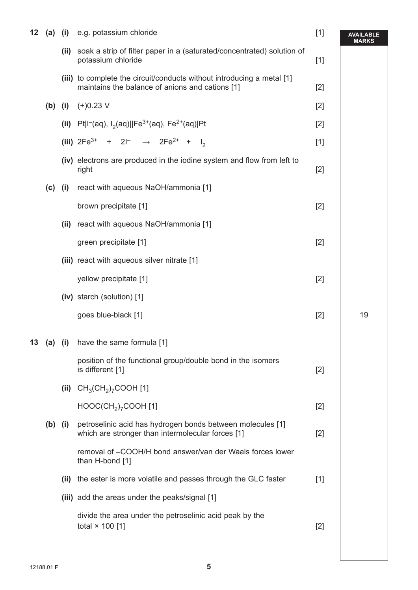| 12 |           |      | (a) (i) e.g. potassium chloride                                                                                           | $[1]$ | <b>AVAILABLE</b><br>MARKS |
|----|-----------|------|---------------------------------------------------------------------------------------------------------------------------|-------|---------------------------|
|    |           |      | (ii) soak a strip of filter paper in a (saturated/concentrated) solution of<br>potassium chloride                         | $[1]$ |                           |
|    |           |      | (iii) to complete the circuit/conducts without introducing a metal [1]<br>maintains the balance of anions and cations [1] | $[2]$ |                           |
|    |           |      | (b) (i) $(+)0.23$ V                                                                                                       | $[2]$ |                           |
|    |           |      | (ii) Pt I <sup>-</sup> (aq), I <sub>2</sub> (aq)  Fe <sup>3+</sup> (aq), Fe <sup>2+</sup> (aq) Pt                         | $[2]$ |                           |
|    |           |      | (iii) $2Fe^{3+} + 2I^{-} \rightarrow 2Fe^{2+} + I_{2}$                                                                    | $[1]$ |                           |
|    |           |      | (iv) electrons are produced in the iodine system and flow from left to<br>right                                           | $[2]$ |                           |
|    |           |      | (c) (i) react with aqueous NaOH/ammonia [1]                                                                               |       |                           |
|    |           |      | brown precipitate [1]                                                                                                     | $[2]$ |                           |
|    |           |      | (ii) react with aqueous NaOH/ammonia [1]                                                                                  |       |                           |
|    |           |      | green precipitate [1]                                                                                                     | $[2]$ |                           |
|    |           |      | (iii) react with aqueous silver nitrate [1]                                                                               |       |                           |
|    |           |      | yellow precipitate [1]                                                                                                    | $[2]$ |                           |
|    |           |      | (iv) starch (solution) [1]                                                                                                |       |                           |
|    |           |      | goes blue-black [1]                                                                                                       | $[2]$ | 19                        |
| 13 |           |      | (a) (i) have the same formula [1]                                                                                         |       |                           |
|    |           |      | position of the functional group/double bond in the isomers<br>is different [1]                                           | $[2]$ |                           |
|    |           |      | (ii) $CH_3(CH_2)_7 COOH$ [1]                                                                                              |       |                           |
|    |           |      | $HOOC(CH2)7COOH [1]$                                                                                                      | $[2]$ |                           |
|    | $(b)$ (i) |      | petroselinic acid has hydrogen bonds between molecules [1]<br>which are stronger than intermolecular forces [1]           | $[2]$ |                           |
|    |           |      | removal of -COOH/H bond answer/van der Waals forces lower<br>than H-bond [1]                                              |       |                           |
|    |           | (ii) | the ester is more volatile and passes through the GLC faster                                                              | $[1]$ |                           |
|    |           |      | (iii) add the areas under the peaks/signal [1]                                                                            |       |                           |
|    |           |      | divide the area under the petroselinic acid peak by the<br>total $\times$ 100 [1]                                         | $[2]$ |                           |
|    |           |      |                                                                                                                           |       |                           |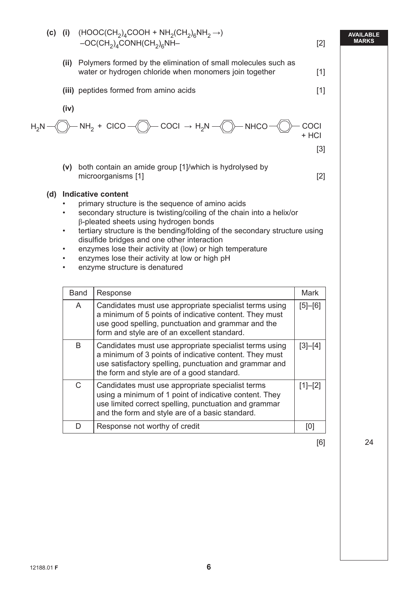

[6] 24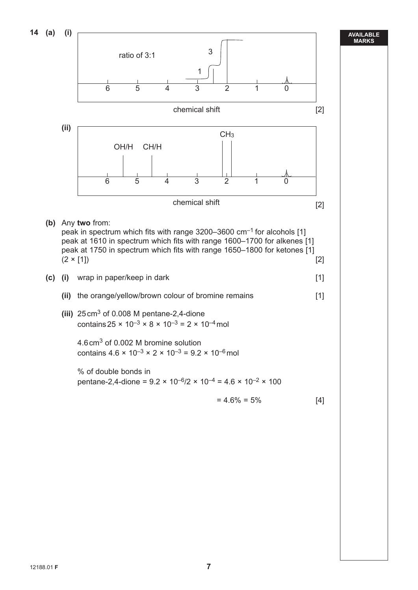